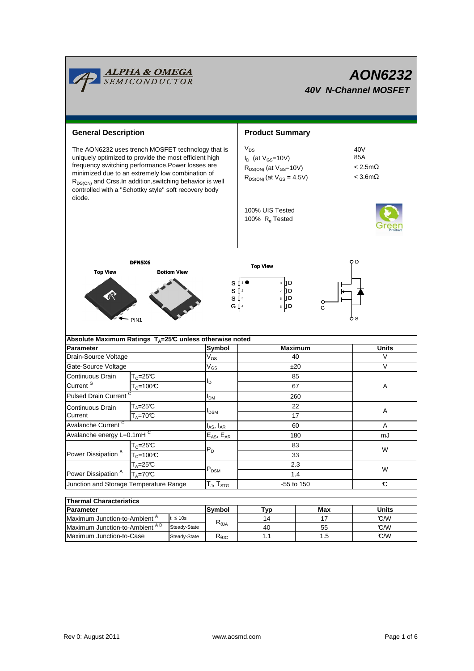|                                                                                                                                                                                                                                                                                                                                                                 | <b>ALPHA &amp; OMEGA</b><br>SEMICONDUCTOR                          | AON6232<br><b>40V N-Channel MOSFET</b>                 |                                                                                                               |                |                                                       |  |  |
|-----------------------------------------------------------------------------------------------------------------------------------------------------------------------------------------------------------------------------------------------------------------------------------------------------------------------------------------------------------------|--------------------------------------------------------------------|--------------------------------------------------------|---------------------------------------------------------------------------------------------------------------|----------------|-------------------------------------------------------|--|--|
| <b>General Description</b>                                                                                                                                                                                                                                                                                                                                      |                                                                    |                                                        | <b>Product Summary</b>                                                                                        |                |                                                       |  |  |
| The AON6232 uses trench MOSFET technology that is<br>uniquely optimized to provide the most efficient high<br>frequency switching performance. Power losses are<br>minimized due to an extremely low combination of<br>R <sub>DS(ON)</sub> and Crss. In addition, switching behavior is well<br>controlled with a "Schottky style" soft recovery body<br>diode. |                                                                    |                                                        | $V_{DS}$<br>$I_D$ (at $V_{GS}$ =10V)<br>$R_{DS(ON)}$ (at $V_{GS}$ =10V)<br>$R_{DS(ON)}$ (at $V_{GS} = 4.5V$ ) |                | 40V<br>85A<br>$< 2.5$ m $\Omega$<br>$<$ 3.6m $\Omega$ |  |  |
|                                                                                                                                                                                                                                                                                                                                                                 |                                                                    | 100% UIS Tested<br>100% R <sub>g</sub> Tested          |                                                                                                               |                |                                                       |  |  |
| <b>Top View</b>                                                                                                                                                                                                                                                                                                                                                 | DFN5X6<br><b>Bottom View</b><br>PIN <sub>1</sub>                   |                                                        | <b>Top View</b><br>s [⊡<br>8 ∏ D<br>$S^{12}$<br>7 D D<br>6 ∏ D<br>$S^{[]}$<br>G ∏ 4<br>$5 \n  D$              | o<br>G         | O D<br>o S                                            |  |  |
| <b>Parameter</b>                                                                                                                                                                                                                                                                                                                                                | Absolute Maximum Ratings $T_A = 25^\circ C$ unless otherwise noted | Symbol                                                 |                                                                                                               | <b>Maximum</b> | Units                                                 |  |  |
| Drain-Source Voltage                                                                                                                                                                                                                                                                                                                                            |                                                                    | V <sub>DS</sub>                                        | 40                                                                                                            |                | V                                                     |  |  |
| Gate-Source Voltage                                                                                                                                                                                                                                                                                                                                             |                                                                    | $\rm V_{GS}$                                           | ±20                                                                                                           |                | $\vee$                                                |  |  |
| Continuous Drain                                                                                                                                                                                                                                                                                                                                                | $T_c = 25C$                                                        |                                                        |                                                                                                               | 85             |                                                       |  |  |
| Current <sup>G</sup>                                                                                                                                                                                                                                                                                                                                            | $T_c = 100C$                                                       | l <sub>D</sub>                                         |                                                                                                               | 67             | A                                                     |  |  |
| <b>Pulsed Drain Current</b>                                                                                                                                                                                                                                                                                                                                     |                                                                    | I <sub>DМ</sub>                                        | 260                                                                                                           |                |                                                       |  |  |
| Continuous Drain                                                                                                                                                                                                                                                                                                                                                | T <sub>A</sub> =25℃                                                |                                                        |                                                                                                               | 22             |                                                       |  |  |
| Current                                                                                                                                                                                                                                                                                                                                                         | $T_A = 70C$                                                        | I <sub>DSM</sub>                                       | 17                                                                                                            |                | Α                                                     |  |  |
| <b>Avalanche Current</b>                                                                                                                                                                                                                                                                                                                                        |                                                                    | $I_{AS}$ , $I_{AR}$                                    | 60                                                                                                            |                | Α                                                     |  |  |
| Avalanche energy L=0.1mHC                                                                                                                                                                                                                                                                                                                                       |                                                                    | $\mathsf{E}_{\mathsf{AS}},\, \mathsf{E}_{\mathsf{AR}}$ | 180                                                                                                           |                | mJ                                                    |  |  |
| Power Dissipation <sup>B</sup>                                                                                                                                                                                                                                                                                                                                  | $T_c = 25C$                                                        |                                                        | 83                                                                                                            |                | W                                                     |  |  |
|                                                                                                                                                                                                                                                                                                                                                                 | $T_c = 100C$                                                       | $P_D$                                                  | 33                                                                                                            |                |                                                       |  |  |
|                                                                                                                                                                                                                                                                                                                                                                 | $T_A = 25C$                                                        | $\mathsf{P}_\mathsf{DSM}$                              | 2.3<br>1.4                                                                                                    |                | W                                                     |  |  |
| Power Dissipation <sup>A</sup>                                                                                                                                                                                                                                                                                                                                  | $T_A = 70$ °C                                                      |                                                        |                                                                                                               |                |                                                       |  |  |
| Junction and Storage Temperature Range                                                                                                                                                                                                                                                                                                                          |                                                                    | $T_J$ , $T_{STG}$                                      | -55 to 150                                                                                                    |                | $\mathbb{C}$                                          |  |  |
| <b>Thermal Characteristics</b>                                                                                                                                                                                                                                                                                                                                  |                                                                    |                                                        |                                                                                                               |                |                                                       |  |  |
| Parameter                                                                                                                                                                                                                                                                                                                                                       |                                                                    | Symbol                                                 | <b>Typ</b>                                                                                                    | Max            | <b>Units</b>                                          |  |  |

| Thermal Unaracteristics                          |              |                                   |     |       |     |  |  |
|--------------------------------------------------|--------------|-----------------------------------|-----|-------|-----|--|--|
| <b>IParameter</b>                                | lSvmbol      | Tvp                               | Max | Units |     |  |  |
| Maximum Junction-to-Ambient <sup>"</sup>         | $\leq 10s$   | $\mathsf{R}_{\theta \mathsf{JA}}$ | 14  |       | C/M |  |  |
| Maximum Junction-to-Ambient AD                   | Steady-State |                                   | 40  | 55    | C/W |  |  |
| <b>IMaximum Junction-to-Case</b><br>Steady-State |              | A.IC                              |     | . ס   | C/W |  |  |

Л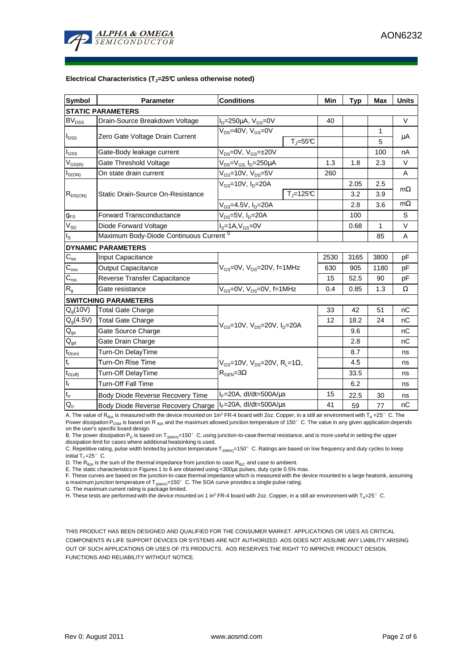

#### **Electrical Characteristics (TJ=25°C unless otherwise noted)**

| <b>Symbol</b>               | <b>Parameter</b>                                           | <b>Conditions</b>                                                               |              | Min  | <b>Typ</b> | <b>Max</b> | <b>Units</b> |  |  |
|-----------------------------|------------------------------------------------------------|---------------------------------------------------------------------------------|--------------|------|------------|------------|--------------|--|--|
| <b>STATIC PARAMETERS</b>    |                                                            |                                                                                 |              |      |            |            |              |  |  |
| <b>BV<sub>DSS</sub></b>     | Drain-Source Breakdown Voltage                             | $I_D = 250 \mu A$ , $V_{GS} = 0V$                                               |              | 40   |            |            | $\vee$       |  |  |
| $I_{DSS}$                   | Zero Gate Voltage Drain Current                            | $V_{DS}$ =40V, $V_{GS}$ =0V<br>$T_J = 55C$                                      |              |      |            | 1          | μA           |  |  |
|                             |                                                            |                                                                                 |              |      |            | 5          |              |  |  |
| l <sub>GSS</sub>            | Gate-Body leakage current                                  | $V_{DS} = 0V$ , $V_{GS} = \pm 20V$                                              |              |      |            | 100        | nA           |  |  |
| $V_{GS(th)}$                | Gate Threshold Voltage                                     | $V_{DS} = V_{GS}$ , $I_D = 250 \mu A$                                           |              | 1.3  | 1.8        | 2.3        | $\vee$       |  |  |
| $I_{D(ON)}$                 | On state drain current                                     | $V_{GS}$ =10V, $V_{DS}$ =5V                                                     |              | 260  |            |            | A            |  |  |
| $R_{DS(ON)}$                | Static Drain-Source On-Resistance                          | $V_{GS}$ =10V, $I_{D}$ =20A                                                     |              |      | 2.05       | 2.5        |              |  |  |
|                             |                                                            |                                                                                 | $T_J = 125C$ |      | 3.2        | 3.9        | $m\Omega$    |  |  |
|                             |                                                            | $V_{GS}$ =4.5V, $I_D$ =20A                                                      |              |      | 2.8        | 3.6        | $m\Omega$    |  |  |
| $g_{FS}$                    | <b>Forward Transconductance</b>                            | V <sub>DS</sub> =5V, I <sub>D</sub> =20A                                        |              |      | 100        |            | S            |  |  |
| $V_{SD}$                    | Diode Forward Voltage                                      | $IS=1A, VGS=0V$                                                                 |              |      | 0.68       | 1          | $\vee$       |  |  |
| I <sub>s</sub>              | Maximum Body-Diode Continuous Current G                    |                                                                                 |              |      |            | 85         | A            |  |  |
|                             | <b>DYNAMIC PARAMETERS</b>                                  |                                                                                 |              |      |            |            |              |  |  |
| $C_{\text{iss}}$            | Input Capacitance                                          | $V_{GS}$ =0V, $V_{DS}$ =20V, f=1MHz                                             |              | 2530 | 3165       | 3800       | pF           |  |  |
| $\mathsf{C}_{\mathrm{oss}}$ | <b>Output Capacitance</b>                                  |                                                                                 |              | 630  | 905        | 1180       | pF           |  |  |
| $C_{\text{rss}}$            | <b>Reverse Transfer Capacitance</b>                        |                                                                                 |              | 15   | 52.5       | 90         | pF           |  |  |
| $\mathsf{R}_{\mathsf{g}}$   | Gate resistance                                            | $V_{GS}$ =0V, $V_{DS}$ =0V, f=1MHz                                              |              | 0.4  | 0.85       | 1.3        | Ω            |  |  |
|                             | <b>SWITCHING PARAMETERS</b>                                |                                                                                 |              |      |            |            |              |  |  |
| Q <sub>a</sub> (10V)        | Total Gate Charge                                          | $V_{\rm GS}$ =10V, $V_{\rm DS}$ =20V, $I_{\rm D}$ =20A                          |              | 33   | 42         | 51         | nC           |  |  |
| $Q_q(4.5V)$                 | <b>Total Gate Charge</b>                                   |                                                                                 |              | 12   | 18.2       | 24         | nC           |  |  |
| $\mathsf{Q}_{\text{gs}}$    | Gate Source Charge                                         |                                                                                 |              |      | 9.6        |            | nC           |  |  |
| $Q_{gd}$                    | Gate Drain Charge                                          |                                                                                 |              |      | 2.8        |            | nC           |  |  |
| $t_{D(on)}$                 | Turn-On DelayTime                                          | $V_{GS}$ =10V, $V_{DS}$ =20V, R <sub>L</sub> =1Ω,<br>$R_{\text{GEN}} = 3\Omega$ |              |      | 8.7        |            | ns           |  |  |
| $\mathfrak{t}_{\mathsf{r}}$ | Turn-On Rise Time                                          |                                                                                 |              |      | 4.5        |            | ns           |  |  |
| $t_{D(off)}$                | Turn-Off DelayTime                                         |                                                                                 |              |      | 33.5       |            | ns           |  |  |
| $t_f$                       | <b>Turn-Off Fall Time</b>                                  |                                                                                 |              |      | 6.2        |            | ns           |  |  |
| $\mathfrak{t}_{\text{rr}}$  | Body Diode Reverse Recovery Time                           | $I_F = 20A$ , dl/dt=500A/ $\mu$ s                                               |              | 15   | 22.5       | 30         | ns           |  |  |
| $Q_{rr}$                    | Body Diode Reverse Recovery Charge   IF=20A, dl/dt=500A/us |                                                                                 |              | 41   | 59         | 77         | nC           |  |  |

A. The value of R<sub>θJA</sub> is measured with the device mounted on 1in<sup>2</sup> FR-4 board with 2oz. Copper, in a still air environment with T<sub>A</sub> =25°C. The

Power dissipation P<sub>DSM</sub> is based on R <sub>θJA</sub> and the maximum allowed junction temperature of 150°C. The value in any given application depends on the user's specific board design.

B. The power dissipation  $P_D$  is based on  $T_{J(MAX)}=150^\circ$  C, using junction-to-case thermal resistance, and is more useful in setting the upper dissipation limit for cases where additional heatsinking is used.

C. Repetitive rating, pulse width limited by junction temperature T<sub>J(MAX)</sub>=150°C. Ratings are based on low frequency and duty cycles to keep initial  $T_J = 25^\circ$  C.

D. The  $R_{\thetaJA}$  is the sum of the thermal impedance from junction to case  $R_{\thetaJC}$  and case to ambient.

E. The static characteristics in Figures 1 to 6 are obtained using <300us pulses, duty cycle 0.5% max.

F. These curves are based on the junction-to-case thermal impedance which is measured with the device mounted to a large heatsink, assuming<br>a maximum junction temperature of T<sub>J(MAX)</sub>=150°C. The SOA curve provides a single

G. The maximum current rating is package limited.

H. These tests are performed with the device mounted on 1 in<sup>2</sup> FR-4 board with 2oz. Copper, in a still air environment with T<sub>A</sub>=25°C.

THIS PRODUCT HAS BEEN DESIGNED AND QUALIFIED FOR THE CONSUMER MARKET. APPLICATIONS OR USES AS CRITICAL COMPONENTS IN LIFE SUPPORT DEVICES OR SYSTEMS ARE NOT AUTHORIZED. AOS DOES NOT ASSUME ANY LIABILITY ARISING OUT OF SUCH APPLICATIONS OR USES OF ITS PRODUCTS. AOS RESERVES THE RIGHT TO IMPROVE PRODUCT DESIGN, FUNCTIONS AND RELIABILITY WITHOUT NOTICE.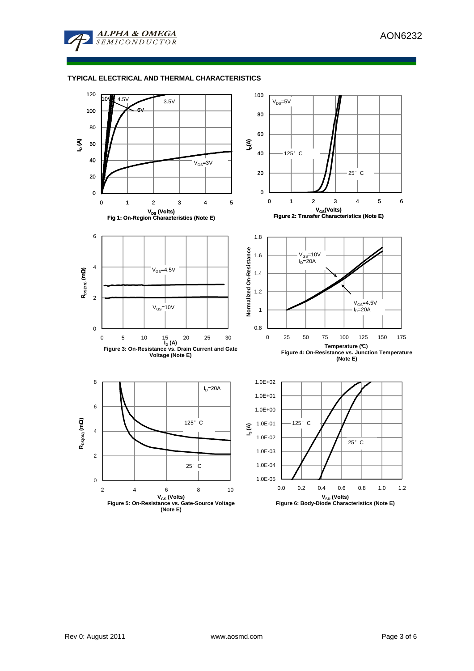

## **TYPICAL ELECTRICAL AND THERMAL CHARACTERISTICS**

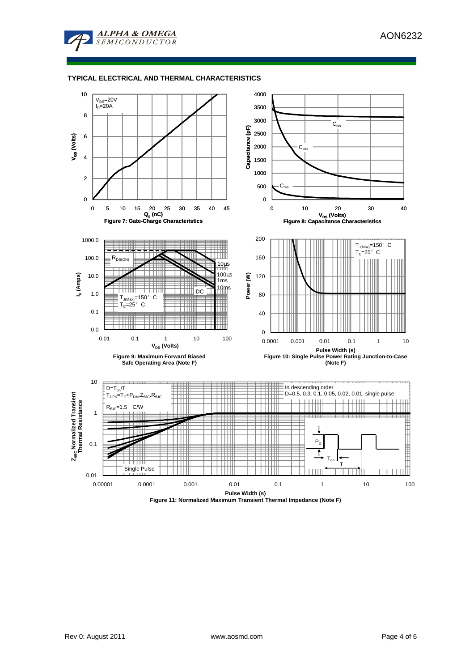

## **TYPICAL ELECTRICAL AND THERMAL CHARACTERISTICS**



**Figure 11: Normalized Maximum Transient Thermal Impedance (Note F)**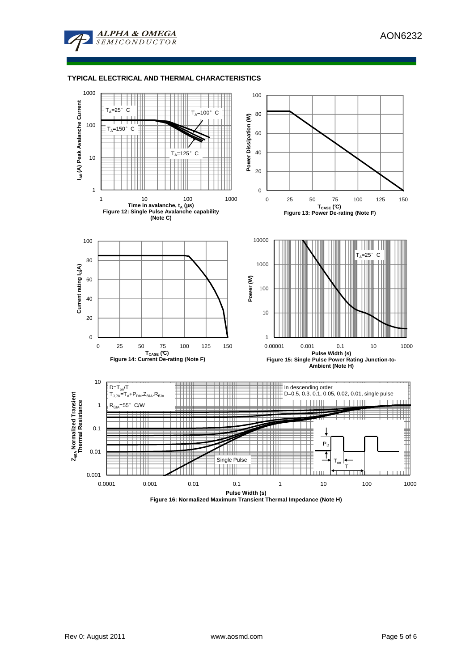

## **TYPICAL ELECTRICAL AND THERMAL CHARACTERISTICS**